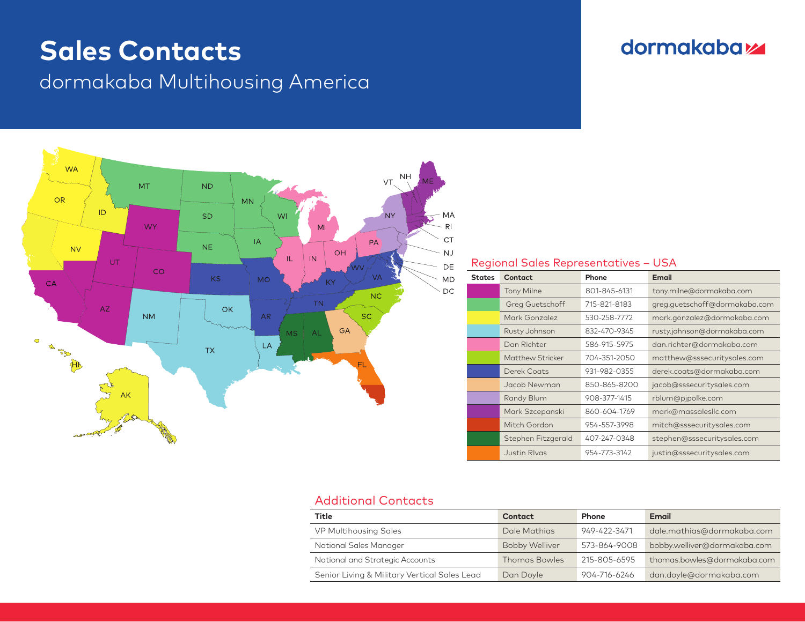# **Sales Contacts**

dormakaba Multihousing America



### dormakabaz

#### Regional Sales Representatives – USA

| <b>States</b> | Contact                | Phone        | Email                         |
|---------------|------------------------|--------------|-------------------------------|
|               | <b>Tony Milne</b>      | 801-845-6131 | tony.milne@dormakaba.com      |
|               | <b>Greg Guetschoff</b> | 715-821-8183 | greg.quetschoff@dormakaba.com |
|               | Mark Gonzalez          | 530-258-7772 | mark.gonzalez@dormakaba.com   |
|               | Rusty Johnson          | 832-470-9345 | rusty.johnson@dormakaba.com   |
|               | Dan Richter            | 586-915-5975 | dan.richter@dormakaba.com     |
|               | Matthew Stricker       | 704-351-2050 | matthew@sssecuritysales.com   |
|               | Derek Coats            | 931-982-0355 | derek.coats@dormakaba.com     |
|               | Jacob Newman           | 850-865-8200 | jacob@sssecuritysales.com     |
|               | Randy Blum             | 908-377-1415 | rblum@pjpolke.com             |
|               | Mark Szcepanski        | 860-604-1769 | mark@massalesllc.com          |
|               | Mitch Gordon           | 954-557-3998 | mitch@sssecuritysales.com     |
|               | Stephen Fitzgerald     | 407-247-0348 | stephen@sssecuritysales.com   |
|               | <b>Justin Rivas</b>    | 954-773-3142 | justin@sssecuritysales.com    |

#### Additional Contacts

| <b>Title</b>                                 | Contact               | Phone        | Email                        |  |
|----------------------------------------------|-----------------------|--------------|------------------------------|--|
| <b>VP Multihousing Sales</b>                 | Dale Mathias          | 949-422-3471 | dale.mathias@dormakaba.com   |  |
| National Sales Manager                       | <b>Bobby Welliver</b> | 573-864-9008 | bobby.welliver@dormakaba.com |  |
| National and Strategic Accounts              | <b>Thomas Bowles</b>  | 215-805-6595 | thomas.bowles@dormakaba.com  |  |
| Senior Living & Military Vertical Sales Lead | Dan Doyle             | 904-716-6246 | dan.doyle@dormakaba.com      |  |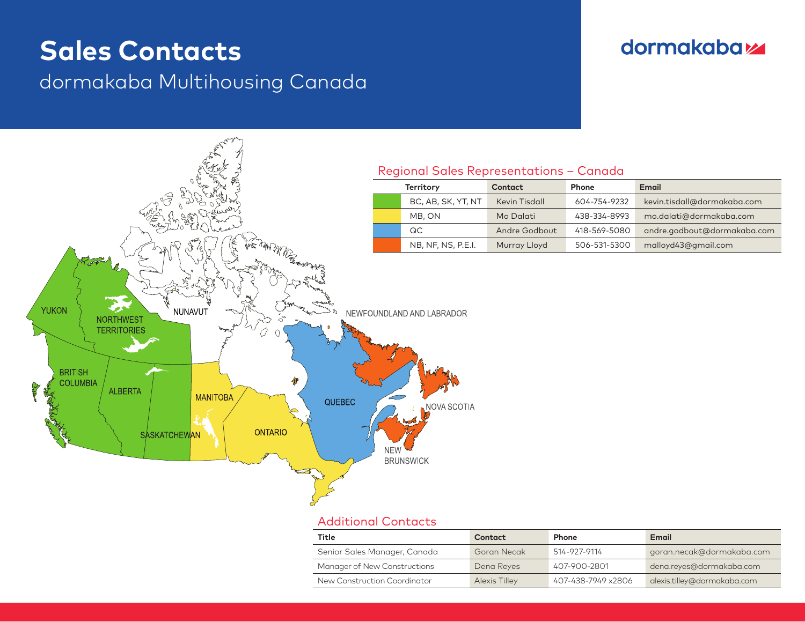## **Sales Contacts**

### dormakaba Multihousing Canada

### **dormakabazz**



#### Additional Contacts

| Title                        | Contact       | <b>Phone</b>       | Email                       |
|------------------------------|---------------|--------------------|-----------------------------|
| Senior Sales Manager, Canada | Goran Necak   | 514-927-9114       | goran.necak@dormakaba.com   |
| Manager of New Constructions | Dena Reyes    | 407-900-2801       | dena.reyes@dormakaba.com    |
| New Construction Coordinator | Alexis Tilley | 407-438-7949 x2806 | alexis.tilley@dormakaba.com |